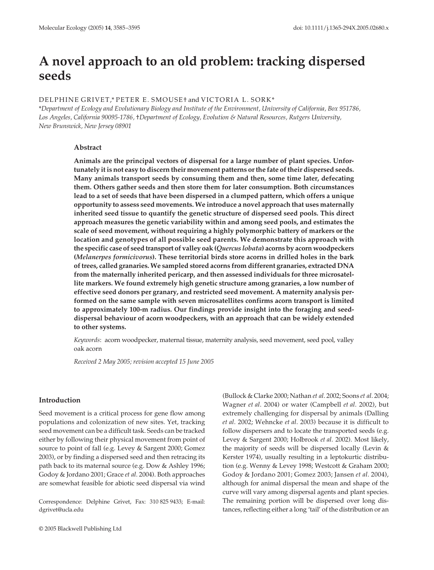# A novel approach to an old problem: tracking dispersed **seeds**

# DELPHINE GRIVET,\* PETER E. SMOUSE† and VICTORIA L. SORK\*

\**Department of Ecology and Evolutionary Biology and Institute of the Environment, University of California, Box 951786, Los Angeles, California 90095-1786,* †*Department of Ecology, Evolution & Natural Resources, Rutgers University, New Brunswick, New Jersey 08901* 

# **Abstract**

**Animals are the principal vectors of dispersal for a large number of plant species. Unfortunately it is not easy to discern their movement patterns or the fate of their dispersed seeds. Many animals transport seeds by consuming them and then, some time later, defecating them. Others gather seeds and then store them for later consumption. Both circumstances lead to a set of seeds that have been dispersed in a clumped pattern, which offers a unique opportunity to assess seed movements. We introduce a novel approach that uses maternally inherited seed tissue to quantify the genetic structure of dispersed seed pools. This direct approach measures the genetic variability within and among seed pools, and estimates the scale of seed movement, without requiring a highly polymorphic battery of markers or the location and genotypes of all possible seed parents. We demonstrate this approach with the specific case of seed transport of valley oak (***Quercus lobata***) acorns by acorn woodpeckers (***Melanerpes formicivorus***). These territorial birds store acorns in drilled holes in the bark of trees, called granaries. We sampled stored acorns from different granaries, extracted DNA from the maternally inherited pericarp, and then assessed individuals for three microsatellite markers. We found extremely high genetic structure among granaries, a low number of effective seed donors per granary, and restricted seed movement. A maternity analysis performed on the same sample with seven microsatellites confirms acorn transport is limited to approximately 100-m radius. Our findings provide insight into the foraging and seeddispersal behaviour of acorn woodpeckers, with an approach that can be widely extended to other systems.**

*Keywords*: acorn woodpecker, maternal tissue, maternity analysis, seed movement, seed pool, valley oak acorn

*Received 2 May 2005; revision accepted 15 June 2005*

# **Introduction**

Seed movement is a critical process for gene flow among populations and colonization of new sites. Yet, tracking seed movement can be a difficult task. Seeds can be tracked either by following their physical movement from point of source to point of fall (e.g. Levey & Sargent 2000; Gomez 2003), or by finding a dispersed seed and then retracing its path back to its maternal source (e.g. Dow & Ashley 1996; Godoy & Jordano 2001; Grace *et al*. 2004). Both approaches are somewhat feasible for abiotic seed dispersal via wind

Correspondence: Delphine Grivet, Fax: 310 825 9433; E-mail: dgrivet@ucla.edu

(Bullock & Clarke 2000; Nathan *et al*. 2002; Soons *et al*. 2004; Wagner *et al*. 2004) or water (Campbell *et al*. 2002), but extremely challenging for dispersal by animals (Dalling *et al*. 2002; Wehncke *et al*. 2003) because it is difficult to follow dispersers and to locate the transported seeds (e.g. Levey & Sargent 2000; Holbrook *et al*. 2002). Most likely, the majority of seeds will be dispersed locally (Levin & Kerster 1974), usually resulting in a leptokurtic distribution (e.g. Wenny & Levey 1998; Westcott & Graham 2000; Godoy & Jordano 2001; Gomez 2003; Jansen *et al*. 2004), although for animal dispersal the mean and shape of the curve will vary among dispersal agents and plant species. The remaining portion will be dispersed over long distances, reflecting either a long 'tail' of the distribution or an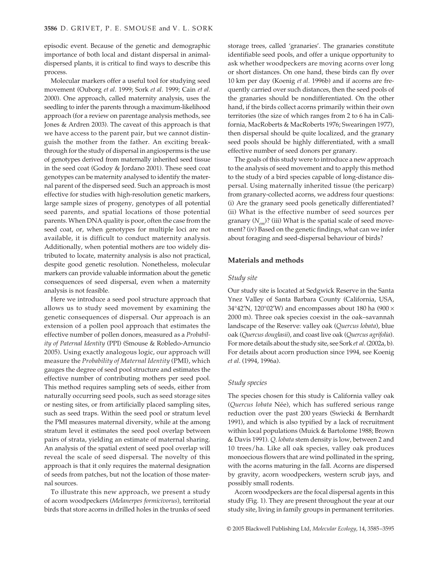episodic event. Because of the genetic and demographic importance of both local and distant dispersal in animaldispersed plants, it is critical to find ways to describe this process.

Molecular markers offer a useful tool for studying seed movement (Ouborg *et al*. 1999; Sork *et al*. 1999; Cain *et al*. 2000). One approach, called maternity analysis, uses the seedling to infer the parents through a maximum-likelihood approach (for a review on parentage analysis methods, see Jones & Ardren 2003). The caveat of this approach is that we have access to the parent pair, but we cannot distinguish the mother from the father. An exciting breakthrough for the study of dispersal in angiosperms is the use of genotypes derived from maternally inherited seed tissue in the seed coat (Godoy & Jordano 2001). These seed coat genotypes can be maternity analysed to identify the maternal parent of the dispersed seed. Such an approach is most effective for studies with high-resolution genetic markers, large sample sizes of progeny, genotypes of all potential seed parents, and spatial locations of those potential parents. When DNA quality is poor, often the case from the seed coat, or, when genotypes for multiple loci are not available, it is difficult to conduct maternity analysis. Additionally, when potential mothers are too widely distributed to locate, maternity analysis is also not practical, despite good genetic resolution. Nonetheless, molecular markers can provide valuable information about the genetic consequences of seed dispersal, even when a maternity analysis is not feasible.

Here we introduce a seed pool structure approach that allows us to study seed movement by examining the genetic consequences of dispersal. Our approach is an extension of a pollen pool approach that estimates the effective number of pollen donors, measured as a *Probability of Paternal Identity* (PPI) (Smouse & Robledo-Arnuncio 2005). Using exactly analogous logic, our approach will measure the *Probability of Maternal Identity* (PMI), which gauges the degree of seed pool structure and estimates the effective number of contributing mothers per seed pool. This method requires sampling sets of seeds, either from naturally occurring seed pools, such as seed storage sites or nesting sites, or from artificially placed sampling sites, such as seed traps. Within the seed pool or stratum level the PMI measures maternal diversity, while at the among stratum level it estimates the seed pool overlap between pairs of strata, yielding an estimate of maternal sharing. An analysis of the spatial extent of seed pool overlap will reveal the scale of seed dispersal. The novelty of this approach is that it only requires the maternal designation of seeds from patches, but not the location of those maternal sources.

To illustrate this new approach, we present a study of acorn woodpeckers (*Melanerpes formicivorus*), territorial birds that store acorns in drilled holes in the trunks of seed

storage trees, called 'granaries'. The granaries constitute identifiable seed pools, and offer a unique opportunity to ask whether woodpeckers are moving acorns over long or short distances. On one hand, these birds can fly over 10 km per day (Koenig *et al*. 1996b) and if acorns are frequently carried over such distances, then the seed pools of the granaries should be nondifferentiated. On the other hand, if the birds collect acorns primarily within their own territories (the size of which ranges from 2 to 6 ha in California, MacRoberts & MacRoberts 1976; Swearingen 1977), then dispersal should be quite localized, and the granary seed pools should be highly differentiated, with a small effective number of seed donors per granary.

The goals of this study were to introduce a new approach to the analysis of seed movement and to apply this method to the study of a bird species capable of long-distance dispersal. Using maternally inherited tissue (the pericarp) from granary-collected acorns, we address four questions: (i) Are the granary seed pools genetically differentiated? (ii) What is the effective number of seed sources per granary (*N<sub>em</sub>*)? (iii) What is the spatial scale of seed movement? (iv) Based on the genetic findings, what can we infer about foraging and seed-dispersal behaviour of birds?

# **Materials and methods**

#### *Study site*

Our study site is located at Sedgwick Reserve in the Santa Ynez Valley of Santa Barbara County (California, USA, 34°42′N, 120°02′W) and encompasses about 180 ha (900  $\times$ 2000 m). Three oak species coexist in the oak–savannah landscape of the Reserve: valley oak (*Quercus lobata*), blue oak (*Quercus douglasii*), and coast live oak (*Quercus agrifolia*). For more details about the study site, see Sork *et al*. (2002a, b). For details about acorn production since 1994, see Koenig *et al*. (1994, 1996a).

#### *Study species*

The species chosen for this study is California valley oak (*Quercus lobata* Née), which has suffered serious range reduction over the past 200 years (Swiecki & Bernhardt 1991), and which is also typified by a lack of recruitment within local populations (Muick & Bartolome 1988; Brown & Davis 1991). *Q*. *lobata* stem density is low, between 2 and 10 trees/ha. Like all oak species, valley oak produces monoecious flowers that are wind pollinated in the spring, with the acorns maturing in the fall. Acorns are dispersed by gravity, acorn woodpeckers, western scrub jays, and possibly small rodents.

Acorn woodpeckers are the focal dispersal agents in this study (Fig. 1). They are present throughout the year at our study site, living in family groups in permanent territories.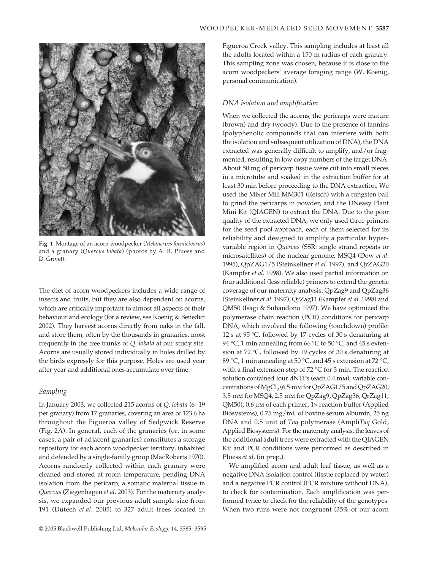

**Fig. 1** Montage of an acorn woodpecker (*Melanerpes formicivorus*) and a granary (*Quercus lobata*) (photos by A. R. Pluess and D. Grivet).

The diet of acorn woodpeckers includes a wide range of insects and fruits, but they are also dependent on acorns, which are critically important to almost all aspects of their behaviour and ecology (for a review, see Koenig & Benedict 2002). They harvest acorns directly from oaks in the fall*,* and store them, often by the thousands in granaries, most frequently in the tree trunks of *Q*. *lobata* at our study site. Acorns are usually stored individually in holes drilled by the birds expressly for this purpose. Holes are used year after year and additional ones accumulate over time.

# *Sampling*

In January 2003, we collected 215 acorns of *Q*. *lobata* (6–19 per granary) from 17 granaries, covering an area of 123.6 ha throughout the Figueroa valley of Sedgwick Reserve (Fig. 2A). In general, each of the granaries (or, in some cases, a pair of adjacent granaries) constitutes a storage repository for each acorn woodpecker territory, inhabited and defended by a single-family group (MacRoberts 1970). Acorns randomly collected within each granary were cleaned and stored at room temperature, pending DNA isolation from the pericarp, a somatic maternal tissue in *Quercus* (Ziegenhagen *et al*. 2003). For the maternity analysis, we expanded our previous adult sample size from 191 (Dutech *et al*. 2005) to 327 adult trees located in

Figueroa Creek valley. This sampling includes at least all the adults located within a 150-m radius of each granary. This sampling zone was chosen, because it is close to the acorn woodpeckers' average foraging range (W. Koenig, personal communication).

# *DNA isolation and amplification*

When we collected the acorns, the pericarps were mature (brown) and dry (woody). Due to the presence of tannins (polyphenolic compounds that can interfere with both the isolation and subsequent utilization of DNA), the DNA extracted was generally difficult to amplify, and/or fragmented, resulting in low copy numbers of the target DNA. About 50 mg of pericarp tissue were cut into small pieces in a microtube and soaked in the extraction buffer for at least 30 min before proceeding to the DNA extraction. We used the Mixer Mill MM301 (Retsch) with a tungsten ball to grind the pericarps in powder, and the DNeasy Plant Mini Kit (QIAGEN) to extract the DNA. Due to the poor quality of the extracted DNA, we only used three primers for the seed pool approach, each of them selected for its reliability and designed to amplify a particular hypervariable region in *Quercus* (SSR: single strand repeats or microsatellites) of the nuclear genome: MSQ4 (Dow *et al*. 1995), QpZAG1/5 (Steinkellner *et al*. 1997), and QrZAG20 (Kampfer *et al*. 1998). We also used partial information on four additional (less reliable) primers to extend the genetic coverage of our maternity analysis: QpZag9 and QpZag36 (Steinkellner *et al*. 1997), QrZag11 (Kampfer *et al*. 1998) and QM50 (Isagi & Suhandono 1997). We have optimized the polymerase chain reaction (PCR) conditions for pericarp DNA, which involved the following (touchdown) profile: 12 s at 95 °C, followed by 17 cycles of 30 s denaturing at 94 °C, 1 min annealing from 66 °C to 50 °C, and 45 s extension at 72 °C, followed by 19 cycles of 30 s denaturing at 89 °C, 1 min annealing at 50 °C, and 45 s extension at 72 °C, with a final extension step of 72 °C for 3 min. The reaction solution contained four dNTPs (each 0.4 mm), variable concentrations of MgCl<sub>2</sub> (6.5 mm for QpZAG1/5 and QpZAG20, 3.5 mm for MSQ4, 2.5 mm for QpZag9, QpZag36, QrZag11, QM50), 0.6 µm of each primer, 1× reaction buffer (Applied Biosystems), 0.75 mg/mL of bovine serum albumin, 25 ng DNA and 0.5 unit of *Taq* polymerase (Ampli*Taq* Gold, Applied Biosystems). For the maternity analysis, the leaves of the additional adult trees were extracted with the QIAGEN Kit and PCR conditions were performed as described in Pluess *et al*. (in prep.).

We amplified acorn and adult leaf tissue, as well as a negative DNA isolation control (tissue replaced by water) and a negative PCR control (PCR mixture without DNA), to check for contamination. Each amplification was performed twice to check for the reliability of the genotypes. When two runs were not congruent (35% of our acorn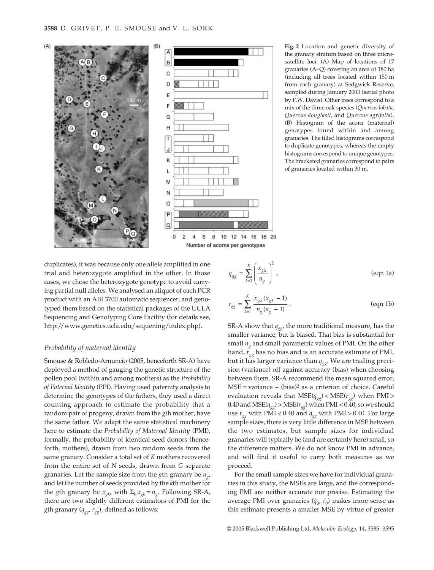

**Fig. 2** Location and genetic diversity of the granary stratum based on three microsatellite loci. (A) Map of locations of 17 granaries (A–Q) covering an area of 180 ha (including all trees located within 150 m from each granary) at Sedgwick Reserve, sampled during January 2003 (aerial photo by F.W. Davis). Other trees correspond to a mix of the three oak species (*Quercus lobata*, *Quercus douglasii*, and *Quercus agrifolia*). (B) Histogram of the acorn (maternal) genotypes found within and among granaries. The filled histograms correspond to duplicate genotypes, whereas the empty histograms correspond to unique genotypes. The bracketed granaries correspond to pairs of granaries located within 30 m.

duplicates), it was because only one allele amplified in one trial and heterozygote amplified in the other. In those cases, we chose the heterozygote genotype to avoid carrying partial null alleles. We analysed an aliquot of each PCR product with an ABI 3700 automatic sequencer, and genotyped them based on the statistical packages of the UCLA Sequencing and Genotyping Core Facility (for details see, http://www.genetics.ucla.edu/sequening/index.php).

#### (eqn 1a) (eqn 1b)  $q_{gg} = \sum_{k=1}^{K} \left( \frac{x_{g}}{n} \right)$  $\sum_{k=1}^{K} x_{gk}$ *g*  $=\sum_{k=1}^{K}\left(\frac{x_{gk}}{g}\right)^2$ , l I ľ  $\overline{1}$  $\sum_{k=1}^{\infty} \left( \frac{n_{gk}}{n_g} \right)$  $r_{gg} = \sum_{k=1}^{K} \frac{x_{gk}(x)}{n_g(n)}$  $\sum_{k=1}^{K} x_{gk} (x_{gk})$  $= \sum_{k=1}^{K} \frac{x_{gk}(x_{gk} - 1)}{n_g(n_g - 1)}$ 1

2

 $g^{v}$ <sup>g</sup>

1

### *Probability of maternal identity*

Smouse & Robledo-Arnuncio (2005, henceforth SR-A) have deployed a method of gauging the genetic structure of the pollen pool (within and among mothers) as the *Probability of Paternal Identity* (PPI). Having used paternity analysis to determine the genotypes of the fathers, they used a direct counting approach to estimate the probability that a random pair of progeny, drawn from the *g*th mother, have the same father. We adapt the same statistical machinery here to estimate the *Probability of Maternal Identity* (PMI), formally, the probability of identical seed donors (henceforth, mothers), drawn from two random seeds from the same granary. Consider a total set of *K* mothers recovered from the entire set of *N* seeds, drawn from *G* separate granaries. Let the sample size from the *g*th granary be  $n_{o}$ , and let the number of seeds provided by the *k*th mother for the *g*th granary be  $x_{gk}$ , with  $\Sigma_k x_{gk} = n_g$ . Following SR-A, there are two slightly different estimators of PMI for the *g*th granary ( $q_{\varphi\varphi}$ ,  $r_{\varphi\varphi}$ ), defined as follows:

SR-A show that  $q_{gg'}$  the more traditional measure, has the smaller variance, but is biased. That bias is substantial for small  $n<sub>o</sub>$  and small parametric values of PMI. On the other hand,  $r_{gg}$  has no bias and is an accurate estimate of PMI, but it has larger variance than  $q_{gg}$ . We are trading precision (variance) off against accuracy (bias) when choosing between them. SR-A recommend the mean squared error,  $MSE = \text{variance} + (\text{bias})^2$  as a criterion of choice. Careful evaluation reveals that  $\text{MSE}(q_{gg}) < \text{MSE}(r_{gg})$  when  $\text{PMI} >$ 0.40 and  $MSE(q_{gg})$  >  $MSE(r_{gg})$  when PMI < 0.40, so we should use *rgg* with PMI < 0.40 and *qgg* with PMI > 0.40. For large sample sizes, there is very little difference in MSE between the two estimates, but sample sizes for individual granaries will typically be (and are certainly here) small, so the difference matters. We do not know PMI in advance, and will find it useful to carry both measures as we proceed.

For the small sample sizes we have for individual granaries in this study, the MSEs are large, and the corresponding PMI are neither accurate nor precise. Estimating the average PMI over granaries ( $\bar{q}_0$ ,  $\bar{r}_0$ ) makes more sense as this estimate presents a smaller MSE by virtue of greater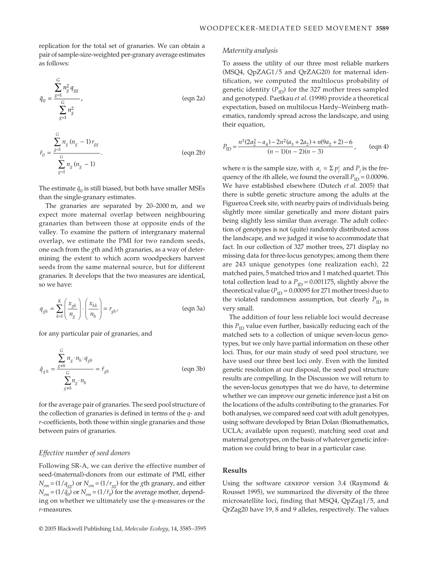replication for the total set of granaries. We can obtain a pair of sample-size-weighted per-granary average estimates as follows:

$$
\bar{q}_0 = \frac{\sum_{g=1}^{G} n_g^2 q_{gg}}{\sum_{g=1}^{G} n_g^2},
$$
\n(eqn 2a)

$$
\bar{r}_0 = \frac{\sum_{g=1}^{G} n_g (n_g - 1) r_{gg}}{\sum_{g=1}^{G} n_g (n_g - 1)}.
$$
 (eqn 2b)

The estimate  $\bar{q}_0$  is still biased, but both have smaller MSEs than the single-granary estimates.

The granaries are separated by 20–2000 m, and we expect more maternal overlap between neighbouring granaries than between those at opposite ends of the valley. To examine the pattern of intergranary maternal overlap, we estimate the PMI for two random seeds, one each from the *g*th and *h*th granaries, as a way of determining the extent to which acorn woodpeckers harvest seeds from the same maternal source, but for different granaries. It develops that the two measures are identical, so we have:

$$
q_{gh} = \sum_{k=1}^{K} \left( \frac{x_{gk}}{n_g} \right) \cdot \left( \frac{x_{hk}}{n_h} \right) = r_{gh},
$$
 (eqn 3a)

for any particular pair of granaries, and

$$
\bar{q}_{gh} = \frac{\sum_{g \neq h}^{G} n_g \cdot n_h \cdot q_{gh}}{\sum_{g \neq h}^{G} n_g \cdot n_h} = \bar{r}_{gh}
$$
 (eqn 3b)

for the average pair of granaries. The seed pool structure of the collection of granaries is defined in terms of the *q*- and *r*-coefficients, both those within single granaries and those between pairs of granaries.

### *Effective number of seed donors*

Following SR-A, we can derive the effective number of seed-(maternal)-donors from our estimate of PMI, either  $N_{em} = (1/q_{gg})$  or  $N_{em} = (1/r_{gg})$  for the *g*th granary, and either  $N_{em} = (1/\bar{q}_0)$  or  $N_{em} = (1/\bar{r}_0)$  for the average mother, depending on whether we ultimately use the *q*-measures or the *r*-measures.

#### *Maternity analysis*

To assess the utility of our three most reliable markers (MSQ4, QpZAG1/5 and QrZAG20) for maternal identification, we computed the multilocus probability of genetic identity  $(P_{ID})$  for the 327 mother trees sampled and genotyped. Paetkau *et al*. (1998) provide a theoretical expectation, based on multilocus Hardy–Weinberg mathematics, randomly spread across the landscape, and using their equation,

$$
P_{\text{ID}} = \frac{n^3 (2a_2^2 - a_4) - 2n^2 (a_3 + 2a_2) + n(9a_2 + 2) - 6}{(n - 1)(n - 2)(n - 3)},
$$
 (eqn 4)

where *n* is the sample size, with  $a_i = \sum p_i^i$  and  $P_j$  is the frequency of the *i*th allele, we found the overall  $P_{ID} = 0.00096$ . We have established elsewhere (Dutech *et al*. 2005) that there is subtle genetic structure among the adults at the Figueroa Creek site, with nearby pairs of individuals being slightly more similar genetically and more distant pairs being slightly less similar than average. The adult collection of genotypes is not (quite) randomly distributed across the landscape, and we judged it wise to accommodate that fact. In our collection of 327 mother trees, 271 display no missing data for three-locus genotypes; among them there are 243 unique genotypes (one realization each), 22 matched pairs, 5 matched trios and 1 matched quartet. This total collection lead to a  $P_{ID} = 0.001175$ , slightly above the theoretical value ( $P_{ID}$  = 0.00095 for 271 mother trees) due to the violated randomness assumption, but clearly  $P_{ID}$  is very small.

The addition of four less reliable loci would decrease this  $P_{ID}$  value even further, basically reducing each of the matched sets to a collection of unique seven-locus genotypes, but we only have partial information on these other loci. Thus, for our main study of seed pool structure, we have used our three best loci only. Even with the limited genetic resolution at our disposal, the seed pool structure results are compelling. In the Discussion we will return to the seven-locus genotypes that we do have, to determine whether we can improve our genetic inference just a bit on the locations of the adults contributing to the granaries. For both analyses, we compared seed coat with adult genotypes, using software developed by Brian Dolan (Biomathematics, UCLA; available upon request), matching seed coat and maternal genotypes, on the basis of whatever genetic information we could bring to bear in a particular case.

### **Results**

Using the software GENEPOP version 3.4 (Raymond  $\&$ Rousset 1995), we summarized the diversity of the three microsatellite loci, finding that MSQ4, QpZag1/5, and QrZag20 have 19, 8 and 9 alleles, respectively. The values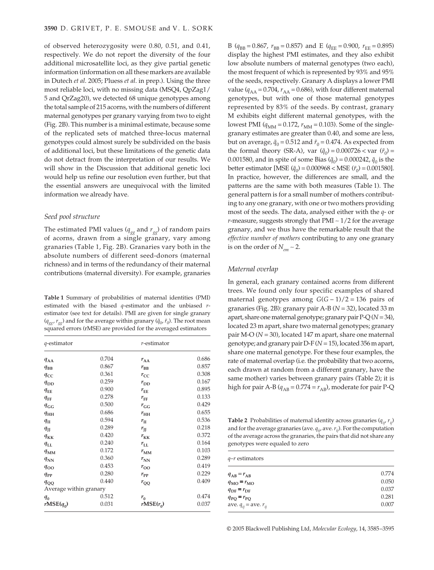of observed heterozygosity were 0.80, 0.51, and 0.41, respectively. We do not report the diversity of the four additional microsatellite loci, as they give partial genetic information (information on all these markers are available in Dutech *et al*. 2005; Pluess *et al*. in prep.). Using the three most reliable loci, with no missing data (MSQ4, QpZag1/ 5 and QrZag20), we detected 68 unique genotypes among the total sample of 215 acorns, with the numbers of different maternal genotypes per granary varying from two to eight (Fig. 2B). This number is a minimal estimate, because some of the replicated sets of matched three-locus maternal genotypes could almost surely be subdivided on the basis of additional loci, but these limitations of the genetic data do not detract from the interpretation of our results. We will show in the Discussion that additional genetic loci would help us refine our resolution even further, but that the essential answers are unequivocal with the limited information we already have.

# *Seed pool structure*

The estimated PMI values ( $q_{gg}$  and  $r_{gg}$ ) of random pairs of acorns, drawn from a single granary, vary among granaries (Table 1, Fig. 2B). Granaries vary both in the absolute numbers of different seed-donors (maternal richness) and in terms of the redundancy of their maternal contributions (maternal diversity). For example, granaries

**Table 1** Summary of probabilities of maternal identities (PMI) estimated with the biased *q*-estimator and the unbiased *r*estimator (see text for details). PMI are given for single granary  $(q_{gg}, r_{gg})$  and for the average within granary  $(\bar{q}_0, \bar{r}_0)$ . The root mean squared errors (rMSE) are provided for the averaged estimators

| q-estimator            |       | r-estimator  |       |
|------------------------|-------|--------------|-------|
| $q_{AA}$               | 0.704 | $r_{AA}$     | 0.686 |
| $q_{BB}$               | 0.867 | $r_{\rm BB}$ | 0.857 |
| $q_{\rm CC}$           | 0.361 | $r_{\rm CC}$ | 0.308 |
| $q_{DD}$               | 0.259 | $r_{DD}$     | 0.167 |
| $q_{EE}$               | 0.900 | $r_{\rm EE}$ | 0.895 |
| $q_{FF}$               | 0.278 | $r_{\rm FF}$ | 0.133 |
| $q_{GG}$               | 0.500 | $r_{\rm GG}$ | 0.429 |
| $q_{HH}$               | 0.686 | $r_{\rm HH}$ | 0.655 |
| $q_{\rm II}$           | 0.594 | $r_{\rm II}$ | 0.536 |
| $q_{\rm H}$            | 0.289 | $r_{\rm H}$  | 0.218 |
| $q_{KK}$               | 0.420 | $r_{\rm KK}$ | 0.372 |
| $q_{\rm LL}$           | 0.240 | $r_{\rm LL}$ | 0.164 |
| $q_{\text{MM}}$        | 0.172 | $r_{\rm MM}$ | 0.103 |
| $q_{NN}$               | 0.360 | $r_{\rm NN}$ | 0.289 |
| $q_{OO}$               | 0.453 | $r_{\rm OO}$ | 0.419 |
| $q_{PP}$               | 0.280 | $r_{\rm PP}$ | 0.229 |
| $q_{OO}$               | 0.440 | $r_{\rm QQ}$ | 0.409 |
| Average within granary |       |              |       |
| $q_{0}$                | 0.512 | $r_0$        | 0.474 |
| $rMSE(q_0)$            | 0.031 | $rMSE(r_0)$  | 0.037 |

B ( $q_{BB} = 0.867$ ,  $r_{BB} = 0.857$ ) and E ( $q_{EE} = 0.900$ ,  $r_{EE} = 0.895$ ) display the highest PMI estimates, and they also exhibit low absolute numbers of maternal genotypes (two each), the most frequent of which is represented by 93% and 95% of the seeds, respectively. Granary A displays a lower PMI value ( $q_{AA} = 0.704$ ,  $r_{AA} = 0.686$ ), with four different maternal genotypes, but with one of those maternal genotypes represented by 83% of the seeds. By contrast, granary M exhibits eight different maternal genotypes, with the lowest PMI ( $q_{\text{MM}} = 0.172$ ,  $r_{\text{MM}} = 0.103$ ). Some of the singlegranary estimates are greater than 0.40, and some are less, but on average,  $\bar{q}_0 = 0.512$  and  $\bar{r}_0 = 0.474$ . As expected from the formal theory (SR-A), var  $(\bar{q}_0) = 0.000726 < \text{var}(\bar{r}_0) =$ 0.001580, and in spite of some Bias ( $\bar{q}_0$ ) = 0.000242,  $\bar{q}_0$  is the better estimator [MSE  $(\bar{q}_0) = 0.000968 < \text{MSE} (\bar{r}_0) = 0.001580$ ]. In practice, however, the differences are small, and the patterns are the same with both measures (Table 1). The general pattern is for a small number of mothers contributing to any one granary, with one or two mothers providing most of the seeds. The data, analysed either with the *q*- or *r*-measure, suggests strongly that PMI ∼ 1/2 for the average granary, and we thus have the remarkable result that the *effective number of mothers* contributing to any one granary is on the order of  $N_{em}$  ~ 2.

# *Maternal overlap*

In general, each granary contained acorns from different trees. We found only four specific examples of shared maternal genotypes among  $G(G-1)/2 = 136$  pairs of granaries (Fig. 2B): granary pair A-B (*N* = 32), located 33 m apart, share one maternal genotype; granary pair P-Q (*N* = 34), located 23 m apart, share two maternal genotypes; granary pair M-O (*N* = 30), located 147 m apart, share one maternal genotype; and granary pair D-F (*N* = 15), located 356 m apart, share one maternal genotype. For these four examples, the rate of maternal overlap (i.e. the probability that two acorns, each drawn at random from a different granary, have the same mother) varies between granary pairs (Table 2); it is high for pair A-B ( $q_{AB} = 0.774 = r_{AB}$ ), moderate for pair P-Q

**Table 2** Probabilities of maternal identity across granaries  $(q_{ji}, r_{ji})$ and for the average granaries (ave.  $q_{ii'}$  ave.  $r_{ii'}$ ). For the computation of the average across the granaries, the pairs that did not share any genotypes were equaled to zero

| $q-r$ estimators                |       |  |  |
|---------------------------------|-------|--|--|
| $q_{AB} = r_{AB}$               | 0.774 |  |  |
| $q_{\rm MO} = r_{\rm MO}$       | 0.050 |  |  |
| $q_{\text{DF}} = r_{\text{DF}}$ | 0.037 |  |  |
| $q_{\rm PO} = r_{\rm PO}$       | 0.281 |  |  |
| ave. $q_{ii}$ = ave. $r_{ii}$   | 0.007 |  |  |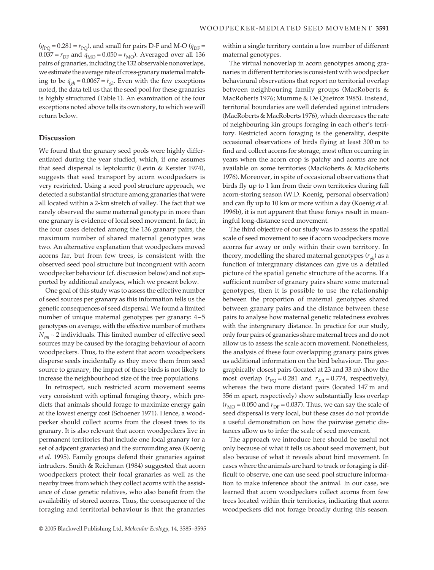$(q_{PQ} = 0.281 = r_{PQ})$ , and small for pairs D-F and M-O ( $q_{DF}$  =  $0.037 = r_{\text{DF}}$  and  $q_{\text{MO}} = 0.050 = r_{\text{MO}}$ . Averaged over all 136 pairs of granaries, including the 132 observable nonoverlaps, we estimate the average rate of cross-granary maternal matching to be  $\bar{q}_{gh} = 0.0067 = \bar{r}_{gh}$ . Even with the few exceptions noted, the data tell us that the seed pool for these granaries is highly structured (Table 1). An examination of the four exceptions noted above tells its own story, to which we will return below.

# **Discussion**

We found that the granary seed pools were highly differentiated during the year studied, which, if one assumes that seed dispersal is leptokurtic (Levin & Kerster 1974), suggests that seed transport by acorn woodpeckers is very restricted. Using a seed pool structure approach, we detected a substantial structure among granaries that were all located within a 2-km stretch of valley. The fact that we rarely observed the same maternal genotype in more than one granary is evidence of local seed movement. In fact, in the four cases detected among the 136 granary pairs, the maximum number of shared maternal genotypes was two. An alternative explanation that woodpeckers moved acorns far, but from few trees, is consistent with the observed seed pool structure but incongruent with acorn woodpecker behaviour (cf. discussion below) and not supported by additional analyses, which we present below.

One goal of this study was to assess the effective number of seed sources per granary as this information tells us the genetic consequences of seed dispersal. We found a limited number of unique maternal genotypes per granary: 4–5 genotypes on average, with the effective number of mothers *N<sub>em</sub>* ∼ 2 individuals. This limited number of effective seed sources may be caused by the foraging behaviour of acorn woodpeckers. Thus, to the extent that acorn woodpeckers disperse seeds incidentally as they move them from seed source to granary, the impact of these birds is not likely to increase the neighbourhood size of the tree populations.

In retrospect, such restricted acorn movement seems very consistent with optimal foraging theory, which predicts that animals should forage to maximize energy gain at the lowest energy cost (Schoener 1971). Hence, a woodpecker should collect acorns from the closest trees to its granary. It is also relevant that acorn woodpeckers live in permanent territories that include one focal granary (or a set of adjacent granaries) and the surrounding area (Koenig *et al*. 1995). Family groups defend their granaries against intruders. Smith & Reichman (1984) suggested that acorn woodpeckers protect their focal granaries as well as the nearby trees from which they collect acorns with the assistance of close genetic relatives, who also benefit from the availability of stored acorns. Thus, the consequence of the foraging and territorial behaviour is that the granaries within a single territory contain a low number of different maternal genotypes.

The virtual nonoverlap in acorn genotypes among granaries in different territories is consistent with woodpecker behavioural observations that report no territorial overlap between neighbouring family groups (MacRoberts & MacRoberts 1976; Mumme & De Queiroz 1985). Instead, territorial boundaries are well defended against intruders (MacRoberts & MacRoberts 1976), which decreases the rate of neighbouring kin groups foraging in each other's territory. Restricted acorn foraging is the generality, despite occasional observations of birds flying at least 300 m to find and collect acorns for storage, most often occurring in years when the acorn crop is patchy and acorns are not available on some territories (MacRoberts & MacRoberts 1976). Moreover, in spite of occasional observations that birds fly up to 1 km from their own territories during fall acorn-storing season (W.D. Koenig, personal observation) and can fly up to 10 km or more within a day (Koenig *et al*. 1996b), it is not apparent that these forays result in meaningful long-distance seed movement.

The third objective of our study was to assess the spatial scale of seed movement to see if acorn woodpeckers move acorns far away or only within their own territory. In theory, modelling the shared maternal genotypes  $(r_{ab})$  as a function of intergranary distances can give us a detailed picture of the spatial genetic structure of the acorns. If a sufficient number of granary pairs share some maternal genotypes, then it is possible to use the relationship between the proportion of maternal genotypes shared between granary pairs and the distance between these pairs to analyse how maternal genetic relatedness evolves with the intergranary distance. In practice for our study, only four pairs of granaries share maternal trees and do not allow us to assess the scale acorn movement. Nonetheless, the analysis of these four overlapping granary pairs gives us additional information on the bird behaviour. The geographically closest pairs (located at 23 and 33 m) show the most overlap  $(r_{\text{PO}} = 0.281$  and  $r_{\text{AB}} = 0.774$ , respectively), whereas the two more distant pairs (located 147 m and 356 m apart, respectively) show substantially less overlap  $(r_{\text{MO}} = 0.050$  and  $r_{\text{DF}} = 0.037$ ). Thus, we can say the scale of seed dispersal is very local, but these cases do not provide a useful demonstration on how the pairwise genetic distances allow us to infer the scale of seed movement.

The approach we introduce here should be useful not only because of what it tells us about seed movement, but also because of what it reveals about bird movement. In cases where the animals are hard to track or foraging is difficult to observe, one can use seed pool structure information to make inference about the animal. In our case, we learned that acorn woodpeckers collect acorns from few trees located within their territories, indicating that acorn woodpeckers did not forage broadly during this season.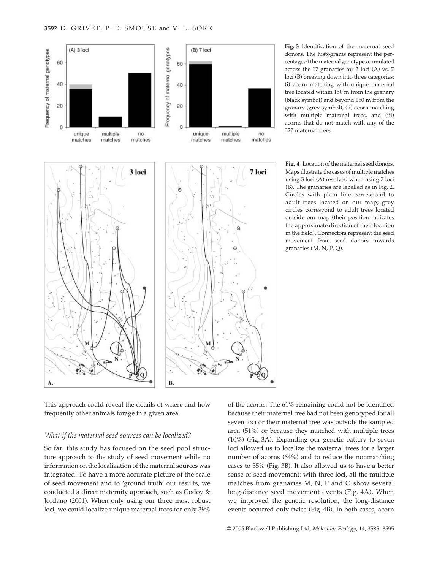

**Fig. 3** Identification of the maternal seed donors. The histograms represent the percentage of the maternal genotypes cumulated across the 17 granaries for 3 loci (A) vs. 7 loci (B) breaking down into three categories: (i) acorn matching with unique maternal tree located within 150 m from the granary (black symbol) and beyond 150 m from the granary (grey symbol), (ii) acorn matching with multiple maternal trees, and (iii) acorns that do not match with any of the 327 maternal trees.

**Fig. 4** Location of the maternal seed donors. Maps illustrate the cases of multiple matches using 3 loci (A) resolved when using 7 loci (B). The granaries are labelled as in Fig. 2. Circles with plain line correspond to adult trees located on our map; grey circles correspond to adult trees located outside our map (their position indicates the approximate direction of their location in the field). Connectors represent the seed movement from seed donors towards granaries (M, N, P, Q).

This approach could reveal the details of where and how frequently other animals forage in a given area.

# *What if the maternal seed sources can be localized?*

So far, this study has focused on the seed pool structure approach to the study of seed movement while no information on the localization of the maternal sources was integrated. To have a more accurate picture of the scale of seed movement and to 'ground truth' our results, we conducted a direct maternity approach, such as Godoy & Jordano (2001). When only using our three most robust loci, we could localize unique maternal trees for only 39%

of the acorns. The 61% remaining could not be identified because their maternal tree had not been genotyped for all seven loci or their maternal tree was outside the sampled area (51%) or because they matched with multiple trees (10%) (Fig. 3A). Expanding our genetic battery to seven loci allowed us to localize the maternal trees for a larger number of acorns (64%) and to reduce the nonmatching cases to 35% (Fig. 3B). It also allowed us to have a better sense of seed movement: with three loci, all the multiple matches from granaries M, N, P and Q show several long-distance seed movement events (Fig. 4A). When we improved the genetic resolution, the long-distance events occurred only twice (Fig. 4B). In both cases, acorn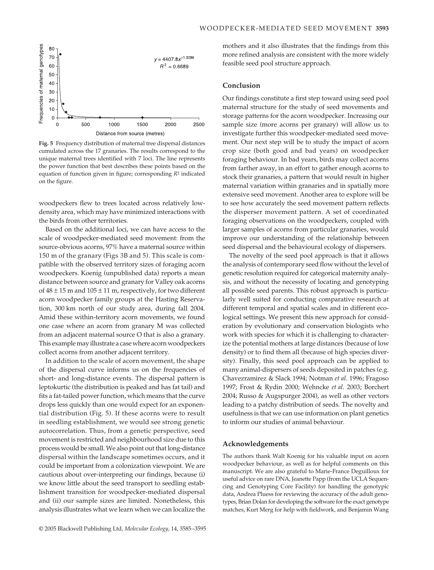

**Fig. 5** Frequency distribution of maternal tree dispersal distances cumulated across the 17 granaries. The results correspond to the unique maternal trees identified with 7 loci. The line represents the power function that best describes these points based on the equation of function given in figure; corresponding *R*<sup>2</sup> indicated on the figure.

woodpeckers flew to trees located across relatively lowdensity area, which may have minimized interactions with the birds from other territories.

Based on the additional loci, we can have access to the scale of woodpecker-mediated seed movement: from the source-obvious acorns, 97% have a maternal source within 150 m of the granary (Figs 3B and 5). This scale is compatible with the observed territory sizes of foraging acorn woodpeckers. Koenig (unpublished data) reports a mean distance between source and granary for Valley oak acorns of  $48 \pm 15$  m and  $105 \pm 11$  m, respectively, for two different acorn woodpecker family groups at the Hasting Reservation, 300 km north of our study area, during fall 2004. Amid these within-territory acorn movements, we found one case where an acorn from granary M was collected from an adjacent maternal source O that is also a granary. This example may illustrate a case where acorn woodpeckers collect acorns from another adjacent territory.

In addition to the scale of acorn movement, the shape of the dispersal curve informs us on the frequencies of short- and long-distance events. The dispersal pattern is leptokurtic (the distribution is peaked and has fat tail) and fits a fat-tailed power function, which means that the curve drops less quickly than one would expect for an exponential distribution (Fig. 5). If these acorns were to result in seedling establishment, we would see strong genetic autocorrelation. Thus, from a genetic perspective, seed movement is restricted and neighbourhood size due to this process would be small. We also point out that long-distance dispersal within the landscape sometimes occurs, and it could be important from a colonization viewpoint. We are cautious about over-interpreting our findings, because (i) we know little about the seed transport to seedling establishment transition for woodpecker-mediated dispersal and (ii) our sample sizes are limited. Nonetheless, this analysis illustrates what we learn when we can localize the mothers and it also illustrates that the findings from this more refined analysis are consistent with the more widely feasible seed pool structure approach.

# **Conclusion**

Our findings constitute a first step toward using seed pool maternal structure for the study of seed movements and storage patterns for the acorn woodpecker. Increasing our sample size (more acorns per granary) will allow us to investigate further this woodpecker-mediated seed movement. Our next step will be to study the impact of acorn crop size (both good and bad years) on woodpecker foraging behaviour. In bad years, birds may collect acorns from farther away, in an effort to gather enough acorns to stock their granaries, a pattern that would result in higher maternal variation within granaries and in spatially more extensive seed movement. Another area to explore will be to see how accurately the seed movement pattern reflects the disperser movement pattern. A set of coordinated foraging observations on the woodpeckers, coupled with larger samples of acorns from particular granaries, would improve our understanding of the relationship between seed dispersal and the behavioural ecology of dispersers.

The novelty of the seed pool approach is that it allows the analysis of contemporary seed flow without the level of genetic resolution required for categorical maternity analysis, and without the necessity of locating and genotyping all possible seed parents. This robust approach is particularly well suited for conducting comparative research at different temporal and spatial scales and in different ecological settings. We present this new approach for consideration by evolutionary and conservation biologists who work with species for which it is challenging to characterize the potential mothers at large distances (because of low density) or to find them all (because of high species diversity). Finally, this seed pool approach can be applied to many animal-dispersers of seeds deposited in patches (e.g. Chavezramirez & Slack 1994; Notman *et al*. 1996; Fragoso 1997; Frost & Rydin 2000; Wehncke *et al*. 2003; Borchert 2004; Russo & Augspurger 2004), as well as other vectors leading to a patchy distribution of seeds. The novelty and usefulness is that we can use information on plant genetics to inform our studies of animal behaviour.

#### **Acknowledgements**

The authors thank Walt Koenig for his valuable input on acorn woodpecker behaviour, as well as for helpful comments on this manuscript. We are also grateful to Marie-France Deguilloux for useful advice on rare DNA, Jeanette Papp (from the UCLA Sequencing and Genotyping Core Facility) for handling the genotypic data, Andrea Pluess for reviewing the accuracy of the adult genotypes, Brian Dolan for developing the software for the exact genotype matches, Kurt Merg for help with fieldwork, and Benjamin Wang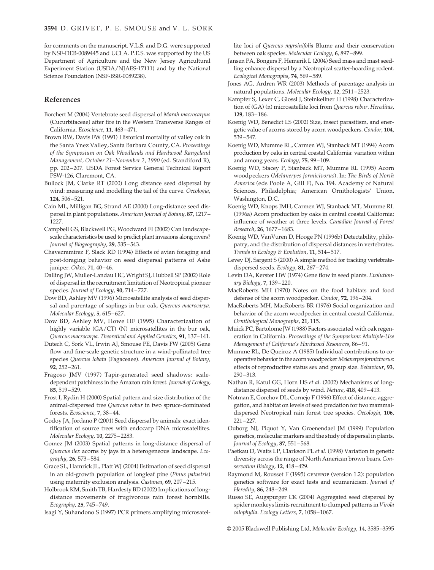for comments on the manuscript. V.L.S. and D.G. were supported by NSF-DEB-0089445 and UCLA. P.E.S. was supported by the US Department of Agriculture and the New Jersey Agricultural Experiment Station (USDA/NJAES-17111) and by the National Science Foundation (NSF-BSR-0089238).

# **References**

- Borchert M (2004) Vertebrate seed dispersal of *Marah macrocarpus* (Cucurbitaceae) after fire in the Western Transverse Ranges of California. *Ecoscience*, **11**, 463–471.
- Brown RW, Davis FW (1991) Historical mortality of valley oak in the Santa Ynez Valley, Santa Barbara County, CA. *Proceedings of the Symposium on Oak Woodlands and Hardwood Rangeland Management, October 21–November 2, 1990* (ed. Standiford R), pp. 202–207. USDA Forest Service General Technical Report PSW-126, Claremont, CA.
- Bullock JM, Clarke RT (2000) Long distance seed dispersal by wind: measuring and modelling the tail of the curve. *Oecologia*, **124**, 506–521.
- Cain ML, Milligan BG, Strand AE (2000) Long-distance seed dispersal in plant populations. *American Journal of Botany*, **87**, 1217– 1227.
- Campbell GS, Blackwell PG, Woodward FI (2002) Can landscapescale characteristics be used to predict plant invasions along rivers? *Journal of Biogeography*, **29**, 535–543.
- Chavezramirez F, Slack RD (1994) Effects of avian foraging and post-foraging behavior on seed dispersal patterns of Ashe juniper. *Oikos*, **71**, 40–46.
- Dalling JW, Muller-Landau HC, Wright SJ, Hubbell SP (2002) Role of dispersal in the recruitment limitation of Neotropical pioneer species. *Journal of Ecology*, **90**, 714–727.
- Dow BD, Ashley MV (1996) Microsatellite analysis of seed dispersal and parentage of saplings in bur oak, *Quercus macrocarpa*. *Molecular Ecology*, **5**, 615–627.
- Dow BD, Ashley MV, Howe HF (1995) Characterization of highly variable (GA/CT) (N) microsatellites in the bur oak, *Quercus macrocarpa*. *Theoretical and Applied Genetics*, **91**, 137–141.
- Dutech C, Sork VL, Irwin AJ, Smouse PE, Davis FW (2005) Gene flow and fine-scale genetic structure in a wind-pollinated tree species *Quercus lobata* (Fagaceaee). *American Journal of Botany*, **92**, 252–261.
- Fragoso JMV (1997) Tapir-generated seed shadows: scaledependent patchiness in the Amazon rain forest. *Journal of Ecology*, **85**, 519–529.
- Frost I, Rydin H (2000) Spatial pattern and size distribution of the animal-dispersed tree *Quercus robur* in two spruce-dominated forests. *Ecoscience*, **7**, 38–44.
- Godoy JA, Jordano P (2001) Seed dispersal by animals: exact identification of source trees with endocarp DNA microsatellites. *Molecular Ecology*, **10**, 2275–2283.
- Gomez JM (2003) Spatial patterns in long-distance dispersal of *Quercus ilex* acorns by jays in a heterogeneous landscape. *Ecography*, **26**, 573–584.
- Grace SL, Hamrick JL, Platt WJ (2004) Estimation of seed dispersal in an old-growth population of longleaf pine (*Pinus palustris*) using maternity exclusion analysis. *Castanea*, **69**, 207–215.
- Holbrook KM, Smith TB, Hardesty BD (2002) Implications of longdistance movements of frugivorous rain forest hornbills. *Ecography*, **25**, 745–749.

Isagi Y, Suhandono S (1997) PCR primers amplifying microsatel-

lite loci of *Quercus myrsinifolia* Blume and their conservation between oak species. *Molecular Ecology*, **6**, 897–899.

- Jansen PA, Bongers F, Hemerik L (2004) Seed mass and mast seedling enhance dispersal by a Neotropical scatter-hoarding rodent. *Ecological Monographs*, **74**, 569–589.
- Jones AG, Ardren WR (2003) Methods of parentage analysis in natural populations. *Molecular Ecology*, **12**, 2511–2523.
- Kampfer S, Lexer C, Glossl J, Steinkellner H (1998) Characterization of (GA) (n) microsatellite loci from *Quercus robur*. *Hereditas*, **129**, 183–186.
- Koenig WD, Benedict LS (2002) Size, insect parasitism, and energetic value of acorns stored by acorn woodpeckers. *Condor*, **104**, 539–547.
- Koenig WD, Mumme RL, Carmen WJ, Stanback MT (1994) Acorn production by oaks in central coastal California: variation within and among years. *Ecology*, **75**, 99–109.
- Koenig WD, Stacey P, Stanback MT, Mumme RL (1995) Acorn woodpeckers (*Melanerpes formicivorus*). In: *The Birds of North America* (eds Poole A, Gill F), No. 194. Academy of Natural Sciences, Philadelphia; American Ornithologists' Union, Washington, D.C.
- Koenig WD, Knops JMH, Carmen WJ, Stanback MT, Mumme RL (1996a) Acorn production by oaks in central coastal California: influence of weather at three levels. *Canadian Journal of Forest Research*, **26**, 1677–1683.
- Koenig WD, VanVuren D, Hooge PN (1996b) Detectability, philopatry, and the distribution of dispersal distances in vertebrates. *Trends in Ecology & Evolution*, **11**, 514–517.
- Levey DJ, Sargent S (2000) A simple method for tracking vertebratedispersed seeds. *Ecology*, **81**, 267–274.
- Levin DA, Kerster HW (1974) Gene flow in seed plants. *Evolutionary Biology*, **7**, 139–220.
- MacRoberts MH (1970) Notes on the food habitats and food defense of the acorn woodpecker. *Condor*, **72**, 196–204.
- MacRoberts MH, MacRoberts BR (1976) Social organization and behavior of the acorn woodpecker in central coastal California. *Ornithological Monographs*, **21**, 115.
- Muick PC, Bartolome JW (1988) Factors associated with oak regeneration in California. *Proceedings of the Symposium: Multiple-Use Management of California's Hardwood Resources*, 86–91.
- Mumme RL, De Queiroz A (1985) Individual contributions to cooperative behavior in the acorn woodpecker *Melanerpes formicivorus*: effects of reproductive status sex and group size. *Behaviour*, **93**, 290–313.
- Nathan R, Katul GG, Horn HS *et al.* (2002) Mechanisms of longdistance dispersal of seeds by wind. *Nature*, **418**, 409–413.
- Notman E, Gorchov DL, Cornejo F (1996) Effect of distance, aggregation, and habitat on levels of seed predation for two mammaldispersed Neotropical rain forest tree species. *Oecologia*, **106**, 221–227.
- Ouborg NJ, Piquot Y, Van Groenendael JM (1999) Population genetics, molecular markers and the study of dispersal in plants. *Journal of Ecology*, **87**, 551–568.
- Paetkau D, Waits LP, Clarkson PL *et al.* (1998) Variation in genetic diversity across the range of North American brown bears. *Conservation Biology*, **12**, 418–429.
- Raymond M, Rousset F (1995) genepop (version 1.2): population genetics software for exact tests and ecumenicism. *Journal of Heredity*, **86**, 248–249.
- Russo SE, Augspurger CK (2004) Aggregated seed dispersal by spider monkeys limits recruitment to clumped patterns in *Virola calophylla*. *Ecology Letters*, **7**, 1058–1067.

© 2005 Blackwell Publishing Ltd, *Molecular Ecology*, 14, 3585–3595